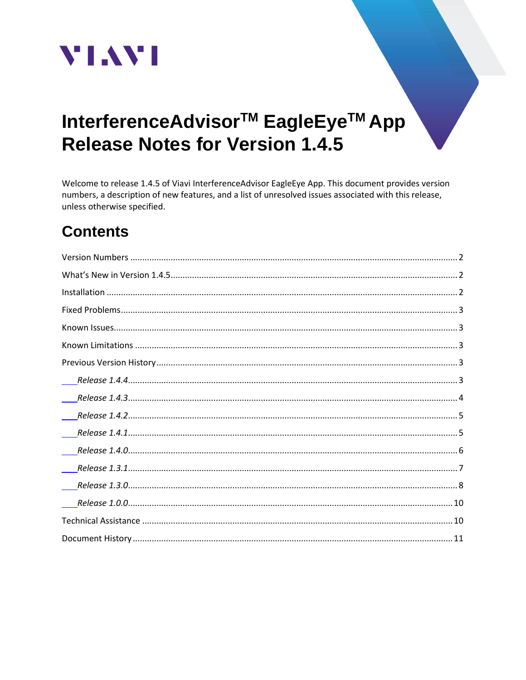

# InterferenceAdvisor<sup>™</sup> EagleEye<sup>™</sup> App **Release Notes for Version 1.4.5**

Welcome to release 1.4.5 of Viavi InterferenceAdvisor EagleEye App. This document provides version numbers, a description of new features, and a list of unresolved issues associated with this release, unless otherwise specified.

## **Contents**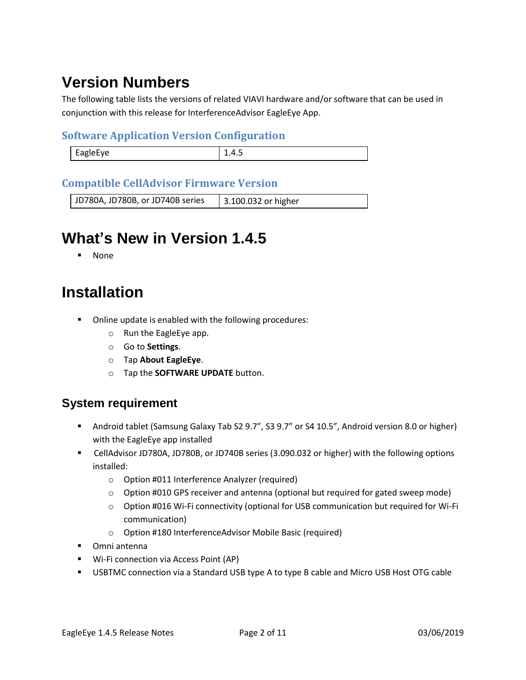# <span id="page-1-0"></span>**Version Numbers**

The following table lists the versions of related VIAVI hardware and/or software that can be used in conjunction with this release for InterferenceAdvisor EagleEye App.

#### **Software Application Version Configuration**

| <b>FARIAFVA</b> |  |
|-----------------|--|
|                 |  |

#### **Compatible CellAdvisor Firmware Version**

<span id="page-1-1"></span>JD780A, JD780B, or JD740B series | 3.100.032 or higher

## **What's New in Version 1.4.5**

**None** 

## <span id="page-1-2"></span>**Installation**

- Online update is enabled with the following procedures:
	- o Run the EagleEye app.
	- o Go to **Settings**.
	- o Tap **About EagleEye**.
	- o Tap the **SOFTWARE UPDATE** button.

#### **System requirement**

- Android tablet (Samsung Galaxy Tab S2 9.7", S3 9.7" or S4 10.5", Android version 8.0 or higher) with the EagleEye app installed
- CellAdvisor JD780A, JD780B, or JD740B series (3.090.032 or higher) with the following options installed:
	- o Option #011 Interference Analyzer (required)
	- $\circ$  Option #010 GPS receiver and antenna (optional but required for gated sweep mode)
	- o Option #016 Wi-Fi connectivity (optional for USB communication but required for Wi-Fi communication)
	- o Option #180 InterferenceAdvisor Mobile Basic (required)
- Omni antenna
- Wi-Fi connection via Access Point (AP)
- USBTMC connection via a Standard USB type A to type B cable and Micro USB Host OTG cable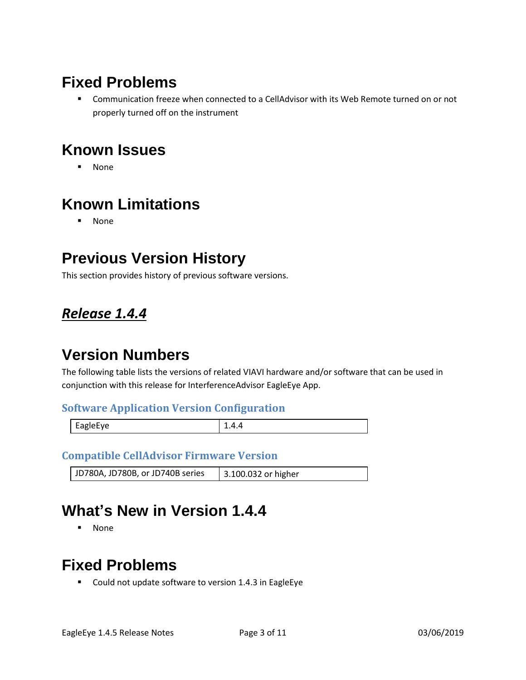## <span id="page-2-0"></span>**Fixed Problems**

■ Communication freeze when connected to a CellAdvisor with its Web Remote turned on or not properly turned off on the instrument

## <span id="page-2-1"></span>**Known Issues**

▪ None

## <span id="page-2-2"></span>**Known Limitations**

▪ None

## <span id="page-2-3"></span>**Previous Version History**

This section provides history of previous software versions.

### <span id="page-2-4"></span>*Release 1.4.4*

### **Version Numbers**

The following table lists the versions of related VIAVI hardware and/or software that can be used in conjunction with this release for InterferenceAdvisor EagleEye App.

#### **Software Application Version Configuration**

|--|--|--|

#### **Compatible CellAdvisor Firmware Version**

```
JD780A, JD780B, or JD740B series | 3.100.032 or higher
```
### **What's New in Version 1.4.4**

▪ None

## **Fixed Problems**

■ Could not update software to version 1.4.3 in EagleEye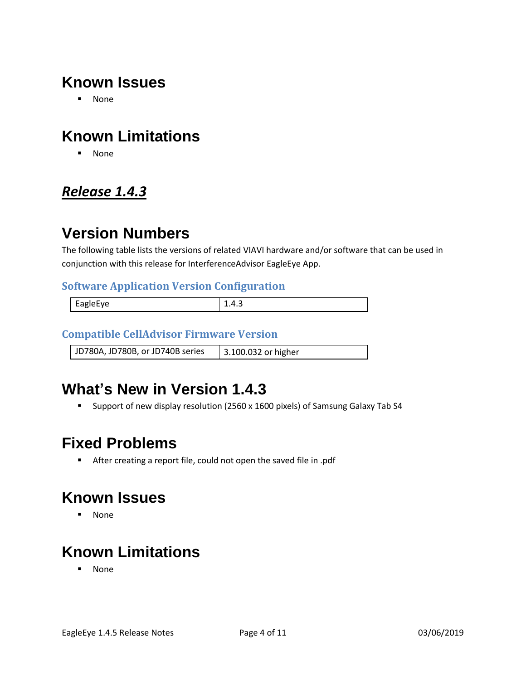## **Known Issues**

▪ None

## **Known Limitations**

▪ None

### <span id="page-3-0"></span>*Release 1.4.3*

## **Version Numbers**

The following table lists the versions of related VIAVI hardware and/or software that can be used in conjunction with this release for InterferenceAdvisor EagleEye App.

#### **Software Application Version Configuration**

| EagleEye | – ⊷ |
|----------|-----|
|          |     |

#### **Compatible CellAdvisor Firmware Version**

JD780A, JD780B, or JD740B series 3.100.032 or higher

## **What's New in Version 1.4.3**

■ Support of new display resolution (2560 x 1600 pixels) of Samsung Galaxy Tab S4

## **Fixed Problems**

▪ After creating a report file, could not open the saved file in .pdf

## **Known Issues**

▪ None

## **Known Limitations**

▪ None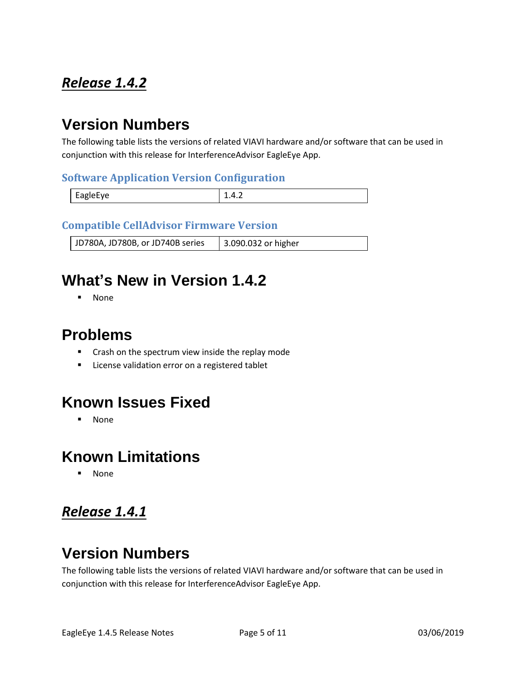## <span id="page-4-0"></span>*Release 1.4.2*

## **Version Numbers**

The following table lists the versions of related VIAVI hardware and/or software that can be used in conjunction with this release for InterferenceAdvisor EagleEye App.

#### **Software Application Version Configuration**

| EagleEye |  |
|----------|--|

#### **Compatible CellAdvisor Firmware Version**

JD780A, JD780B, or JD740B series | 3.090.032 or higher

## **What's New in Version 1.4.2**

▪ None

### **Problems**

- Crash on the spectrum view inside the replay mode
- License validation error on a registered tablet

### **Known Issues Fixed**

▪ None

#### **Known Limitations**

**None** 

### <span id="page-4-1"></span>*Release 1.4.1*

## **Version Numbers**

The following table lists the versions of related VIAVI hardware and/or software that can be used in conjunction with this release for InterferenceAdvisor EagleEye App.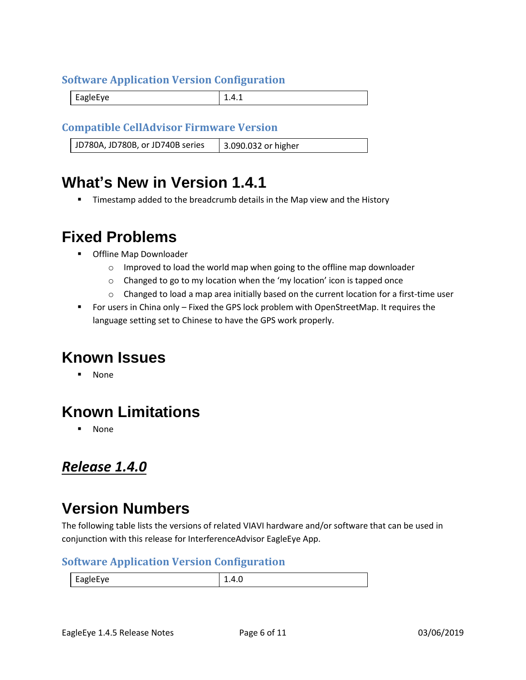#### **Software Application Version Configuration**

EagleEye 2.4.1

#### **Compatible CellAdvisor Firmware Version**

JD780A, JD780B, or JD740B series | 3.090.032 or higher

### **What's New in Version 1.4.1**

Timestamp added to the breadcrumb details in the Map view and the History

### **Fixed Problems**

- Offline Map Downloader
	- $\circ$  Improved to load the world map when going to the offline map downloader
	- o Changed to go to my location when the 'my location' icon is tapped once
	- $\circ$  Changed to load a map area initially based on the current location for a first-time user
- For users in China only Fixed the GPS lock problem with OpenStreetMap. It requires the language setting set to Chinese to have the GPS work properly.

### **Known Issues**

**None** 

## **Known Limitations**

**None** 

### <span id="page-5-0"></span>*Release 1.4.0*

### **Version Numbers**

The following table lists the versions of related VIAVI hardware and/or software that can be used in conjunction with this release for InterferenceAdvisor EagleEye App.

#### **Software Application Version Configuration**

EagleEye 1.4.0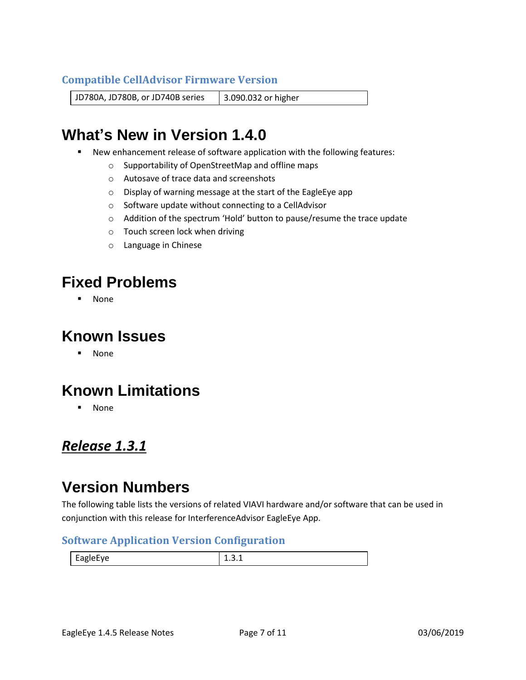#### **Compatible CellAdvisor Firmware Version**

JD780A, JD780B, or JD740B series | 3.090.032 or higher

## **What's New in Version 1.4.0**

- New enhancement release of software application with the following features:
	- o Supportability of OpenStreetMap and offline maps
	- o Autosave of trace data and screenshots
	- o Display of warning message at the start of the EagleEye app
	- o Software update without connecting to a CellAdvisor
	- o Addition of the spectrum 'Hold' button to pause/resume the trace update
	- o Touch screen lock when driving
	- o Language in Chinese

### **Fixed Problems**

▪ None

### **Known Issues**

▪ None

## **Known Limitations**

▪ None

#### <span id="page-6-0"></span>*Release 1.3.1*

### **Version Numbers**

The following table lists the versions of related VIAVI hardware and/or software that can be used in conjunction with this release for InterferenceAdvisor EagleEye App.

#### **Software Application Version Configuration**

| <b>FagleFve</b><br>--- |  |
|------------------------|--|
|                        |  |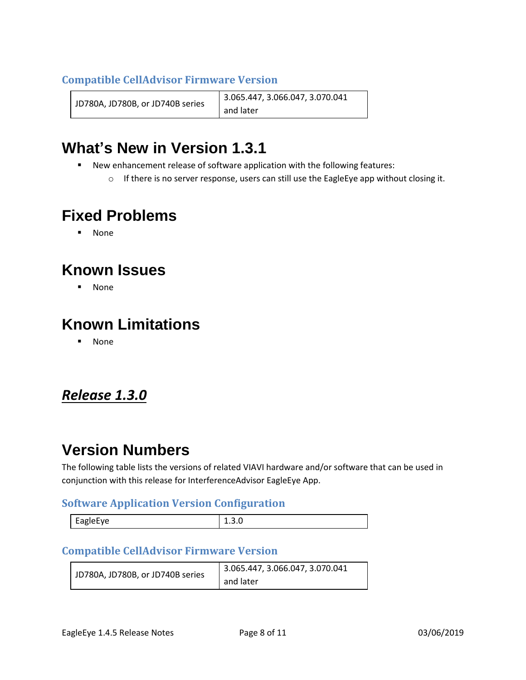#### **Compatible CellAdvisor Firmware Version**

JD780A, JD780B, or JD740B series 3.065.447, 3.066.047, 3.070.041 and later

## **What's New in Version 1.3.1**

- New enhancement release of software application with the following features:
	- $\circ$  If there is no server response, users can still use the EagleEye app without closing it.

## **Fixed Problems**

▪ None

## **Known Issues**

▪ None

## **Known Limitations**

▪ None

### <span id="page-7-0"></span>*Release 1.3.0*

### **Version Numbers**

The following table lists the versions of related VIAVI hardware and/or software that can be used in conjunction with this release for InterferenceAdvisor EagleEye App.

#### **Software Application Version Configuration**

| apiprve<br>_<br>-- c | - - - - - |
|----------------------|-----------|
|                      |           |

#### **Compatible CellAdvisor Firmware Version**

|                                  | 3.065.447, 3.066.047, 3.070.041 |
|----------------------------------|---------------------------------|
| JD780A, JD780B, or JD740B series | and later                       |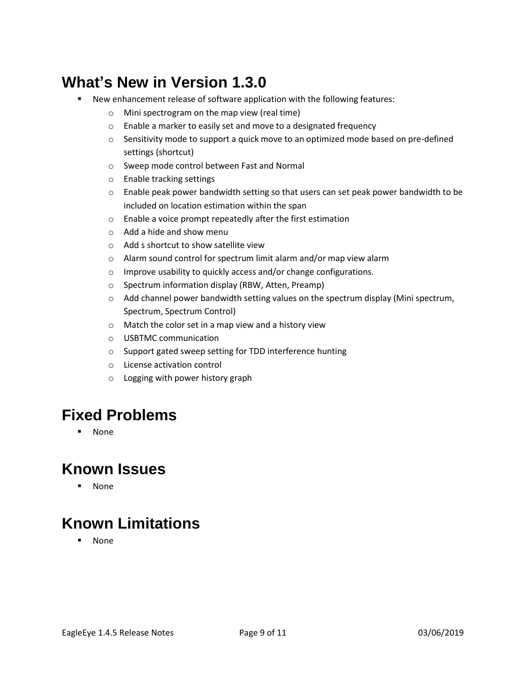## **What's New in Version 1.3.0**

- New enhancement release of software application with the following features:
	- o Mini spectrogram on the map view (real time)
	- o Enable a marker to easily set and move to a designated frequency
	- $\circ$  Sensitivity mode to support a quick move to an optimized mode based on pre-defined settings (shortcut)
	- o Sweep mode control between Fast and Normal
	- o Enable tracking settings
	- $\circ$  Enable peak power bandwidth setting so that users can set peak power bandwidth to be included on location estimation within the span
	- o Enable a voice prompt repeatedly after the first estimation
	- o Add a hide and show menu
	- o Add s shortcut to show satellite view
	- o Alarm sound control for spectrum limit alarm and/or map view alarm
	- o Improve usability to quickly access and/or change configurations.
	- o Spectrum information display (RBW, Atten, Preamp)
	- $\circ$  Add channel power bandwidth setting values on the spectrum display (Mini spectrum, Spectrum, Spectrum Control)
	- o Match the color set in a map view and a history view
	- o USBTMC communication
	- o Support gated sweep setting for TDD interference hunting
	- o License activation control
	- o Logging with power history graph

## **Fixed Problems**

▪ None

## **Known Issues**

▪ None

## **Known Limitations**

▪ None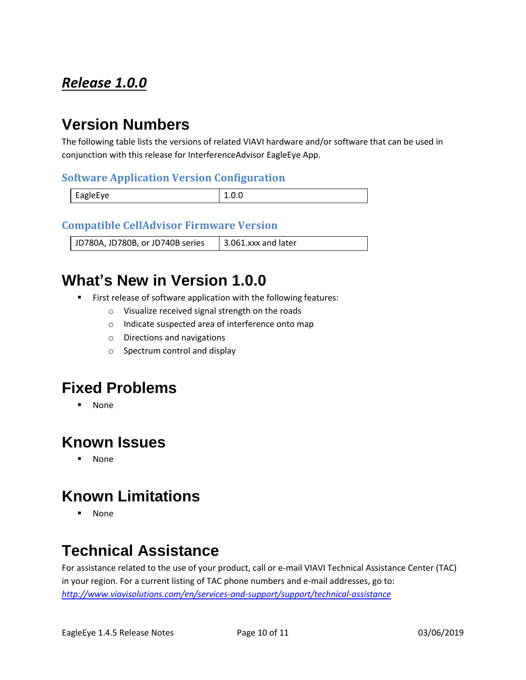## <span id="page-9-0"></span>*Release 1.0.0*

## **Version Numbers**

The following table lists the versions of related VIAVI hardware and/or software that can be used in conjunction with this release for InterferenceAdvisor EagleEye App.

#### **Software Application Version Configuration**

| EagleEye | <b>L.V.V</b> |
|----------|--------------|

#### **Compatible CellAdvisor Firmware Version**

JD780A, JD780B, or JD740B series | 3.061.xxx and later

## **What's New in Version 1.0.0**

- First release of software application with the following features:
	- o Visualize received signal strength on the roads
	- o Indicate suspected area of interference onto map
	- o Directions and navigations
	- o Spectrum control and display

### **Fixed Problems**

▪ None

### **Known Issues**

▪ None

## **Known Limitations**

▪ None

## <span id="page-9-1"></span>**Technical Assistance**

For assistance related to the use of your product, call or e-mail VIAVI Technical Assistance Center (TAC) in your region. For a current listing of TAC phone numbers and e-mail addresses, go to: *<http://www.viavisolutions.com/en/services-and-support/support/technical-assistance>*